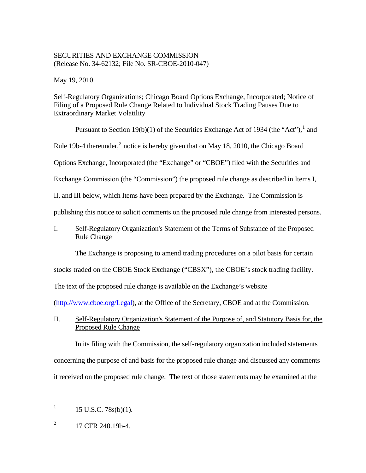# SECURITIES AND EXCHANGE COMMISSION (Release No. 34-62132; File No. SR-CBOE-2010-047)

May 19, 2010

Self-Regulatory Organizations; Chicago Board Options Exchange, Incorporated; Notice of Filing of a Proposed Rule Change Related to Individual Stock Trading Pauses Due to Extraordinary Market Volatility

Pursuant to Section [1](#page-0-0)9(b)(1) of the Securities Exchange Act of 1934 (the "Act"),<sup>1</sup> and Rule 19b-4 thereunder, $^2$  $^2$  notice is hereby given that on May 18, 2010, the Chicago Board Options Exchange, Incorporated (the "Exchange" or "CBOE") filed with the Securities and Exchange Commission (the "Commission") the proposed rule change as described in Items I, II, and III below, which Items have been prepared by the Exchange. The Commission is publishing this notice to solicit comments on the proposed rule change from interested persons.

# I. Self-Regulatory Organization's Statement of the Terms of Substance of the Proposed Rule Change

The Exchange is proposing to amend trading procedures on a pilot basis for certain

stocks traded on the CBOE Stock Exchange ("CBSX"), the CBOE's stock trading facility.

The text of the proposed rule change is available on the Exchange's website

(http://www.cboe.org/Legal), at the Office of the Secretary, CBOE and at the Commission.

II. Self-Regulatory Organization's Statement of the Purpose of, and Statutory Basis for, the Proposed Rule Change

 In its filing with the Commission, the self-regulatory organization included statements concerning the purpose of and basis for the proposed rule change and discussed any comments it received on the proposed rule change. The text of those statements may be examined at the

<span id="page-0-0"></span> $\frac{1}{1}$ 15 U.S.C. 78s(b)(1).

<span id="page-0-1"></span><sup>2</sup> 17 CFR 240.19b-4.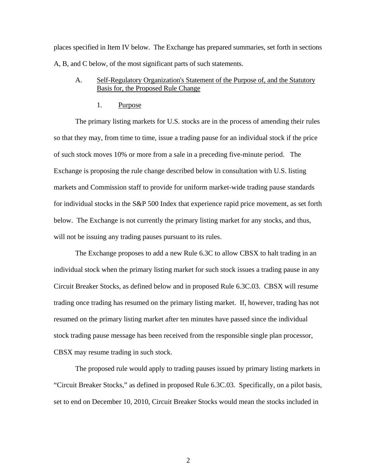places specified in Item IV below. The Exchange has prepared summaries, set forth in sections A, B, and C below, of the most significant parts of such statements.

## A. Self-Regulatory Organization's Statement of the Purpose of, and the Statutory Basis for, the Proposed Rule Change

#### 1. Purpose

The primary listing markets for U.S. stocks are in the process of amending their rules so that they may, from time to time, issue a trading pause for an individual stock if the price of such stock moves 10% or more from a sale in a preceding five-minute period. The Exchange is proposing the rule change described below in consultation with U.S. listing markets and Commission staff to provide for uniform market-wide trading pause standards for individual stocks in the S&P 500 Index that experience rapid price movement, as set forth below. The Exchange is not currently the primary listing market for any stocks, and thus, will not be issuing any trading pauses pursuant to its rules.

The Exchange proposes to add a new Rule 6.3C to allow CBSX to halt trading in an individual stock when the primary listing market for such stock issues a trading pause in any Circuit Breaker Stocks, as defined below and in proposed Rule 6.3C.03. CBSX will resume trading once trading has resumed on the primary listing market. If, however, trading has not resumed on the primary listing market after ten minutes have passed since the individual stock trading pause message has been received from the responsible single plan processor, CBSX may resume trading in such stock.

The proposed rule would apply to trading pauses issued by primary listing markets in "Circuit Breaker Stocks," as defined in proposed Rule 6.3C.03. Specifically, on a pilot basis, set to end on December 10, 2010, Circuit Breaker Stocks would mean the stocks included in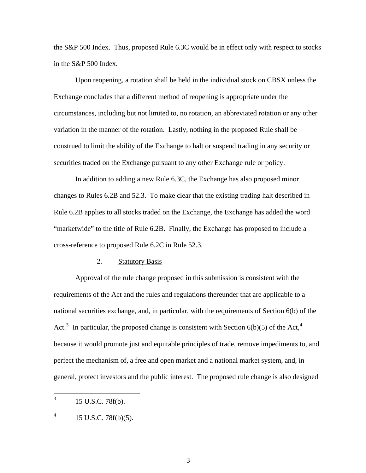the S&P 500 Index. Thus, proposed Rule 6.3C would be in effect only with respect to stocks in the S&P 500 Index.

Upon reopening, a rotation shall be held in the individual stock on CBSX unless the Exchange concludes that a different method of reopening is appropriate under the circumstances, including but not limited to, no rotation, an abbreviated rotation or any other variation in the manner of the rotation. Lastly, nothing in the proposed Rule shall be construed to limit the ability of the Exchange to halt or suspend trading in any security or securities traded on the Exchange pursuant to any other Exchange rule or policy.

In addition to adding a new Rule 6.3C, the Exchange has also proposed minor changes to Rules 6.2B and 52.3. To make clear that the existing trading halt described in Rule 6.2B applies to all stocks traded on the Exchange, the Exchange has added the word "marketwide" to the title of Rule 6.2B. Finally, the Exchange has proposed to include a cross-reference to proposed Rule 6.2C in Rule 52.3.

### 2. Statutory Basis

Approval of the rule change proposed in this submission is consistent with the requirements of the Act and the rules and regulations thereunder that are applicable to a national securities exchange, and, in particular, with the requirements of Section 6(b) of the Act.<sup>[3](#page-2-0)</sup> In particular, the proposed change is consistent with Section  $6(b)(5)$  of the Act,<sup>[4](#page-2-1)</sup> because it would promote just and equitable principles of trade, remove impediments to, and perfect the mechanism of, a free and open market and a national market system, and, in general, protect investors and the public interest. The proposed rule change is also designed

<span id="page-2-0"></span> $\frac{1}{3}$ 15 U.S.C. 78f(b).

<span id="page-2-1"></span><sup>4</sup> 15 U.S.C. 78f(b)(5).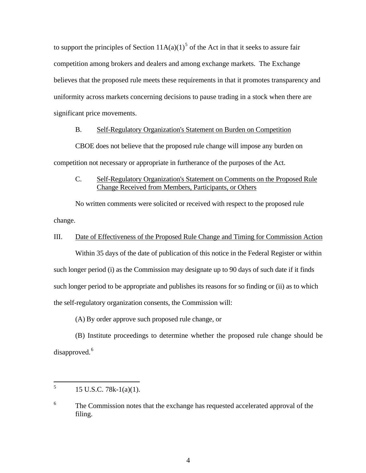to support the principles of Section  $11A(a)(1)^5$  $11A(a)(1)^5$  of the Act in that it seeks to assure fair competition among brokers and dealers and among exchange markets. The Exchange believes that the proposed rule meets these requirements in that it promotes transparency and uniformity across markets concerning decisions to pause trading in a stock when there are significant price movements.

### B. Self-Regulatory Organization's Statement on Burden on Competition

 CBOE does not believe that the proposed rule change will impose any burden on competition not necessary or appropriate in furtherance of the purposes of the Act.

C. Self-Regulatory Organization's Statement on Comments on the Proposed Rule Change Received from Members, Participants, or Others

 No written comments were solicited or received with respect to the proposed rule change.

## III. Date of Effectiveness of the Proposed Rule Change and Timing for Commission Action

 Within 35 days of the date of publication of this notice in the Federal Register or within such longer period (i) as the Commission may designate up to 90 days of such date if it finds such longer period to be appropriate and publishes its reasons for so finding or (ii) as to which the self-regulatory organization consents, the Commission will:

(A) By order approve such proposed rule change, or

(B) Institute proceedings to determine whether the proposed rule change should be disapproved.<sup>[6](#page-3-1)</sup>

<span id="page-3-0"></span> $\frac{1}{5}$ 15 U.S.C. 78k-1(a)(1).

<span id="page-3-1"></span><sup>6</sup> The Commission notes that the exchange has requested accelerated approval of the filing.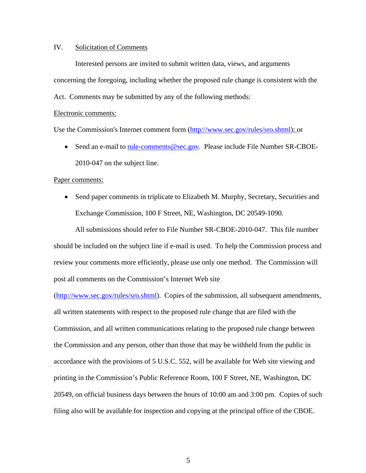## IV. Solicitation of Comments

Interested persons are invited to submit written data, views, and arguments concerning the foregoing, including whether the proposed rule change is consistent with the

Act. Comments may be submitted by any of the following methods:

#### Electronic comments:

Use the Commission's Internet comment form (http://www.sec.gov/rules/sro.shtml); or

• Send an e-mail to rule-comments@sec.gov. Please include File Number SR-CBOE-2010-047 on the subject line.

#### Paper comments:

• Send paper comments in triplicate to Elizabeth M. Murphy, Secretary, Securities and Exchange Commission, 100 F Street, NE, Washington, DC 20549-1090.

All submissions should refer to File Number SR-CBOE-2010-047. This file number should be included on the subject line if e-mail is used. To help the Commission process and review your comments more efficiently, please use only one method. The Commission will post all comments on the Commission's Internet Web site

(http://www.sec.gov/rules/sro.shtml). Copies of the submission, all subsequent amendments, all written statements with respect to the proposed rule change that are filed with the Commission, and all written communications relating to the proposed rule change between the Commission and any person, other than those that may be withheld from the public in accordance with the provisions of 5 U.S.C. 552, will be available for Web site viewing and printing in the Commission's Public Reference Room, 100 F Street, NE, Washington, DC 20549, on official business days between the hours of 10:00 am and 3:00 pm. Copies of such filing also will be available for inspection and copying at the principal office of the CBOE.